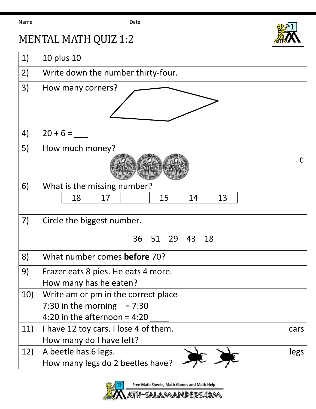Name Date



## MENTAL MATH QUIZ 1:2

| 1)  | 10 plus 10                            |      |
|-----|---------------------------------------|------|
| 2)  | Write down the number thirty-four.    |      |
| 3)  | How many corners?                     |      |
|     |                                       |      |
|     |                                       |      |
| 4)  | $20 + 6 =$                            |      |
| 5)  | How much money?                       |      |
|     |                                       |      |
|     |                                       |      |
| 6)  | What is the missing number?           |      |
|     | 13<br>18<br>15<br>14<br>17            |      |
|     |                                       |      |
| 7)  | Circle the biggest number.            |      |
|     | 36 51 29 43<br>18                     |      |
| 8)  | What number comes before 70?          |      |
| 9)  | Frazer eats 8 pies. He eats 4 more.   |      |
|     | How many has he eaten?                |      |
| 10) | Write am or pm in the correct place   |      |
|     | 7:30 in the morning $= 7:30$          |      |
|     | 4:20 in the afternoon = $4:20$        |      |
| 11) | I have 12 toy cars. I lose 4 of them. | cars |
|     | How many do I have left?              |      |
| 12) | A beetle has 6 legs.                  | legs |
|     | How many legs do 2 beetles have?      |      |